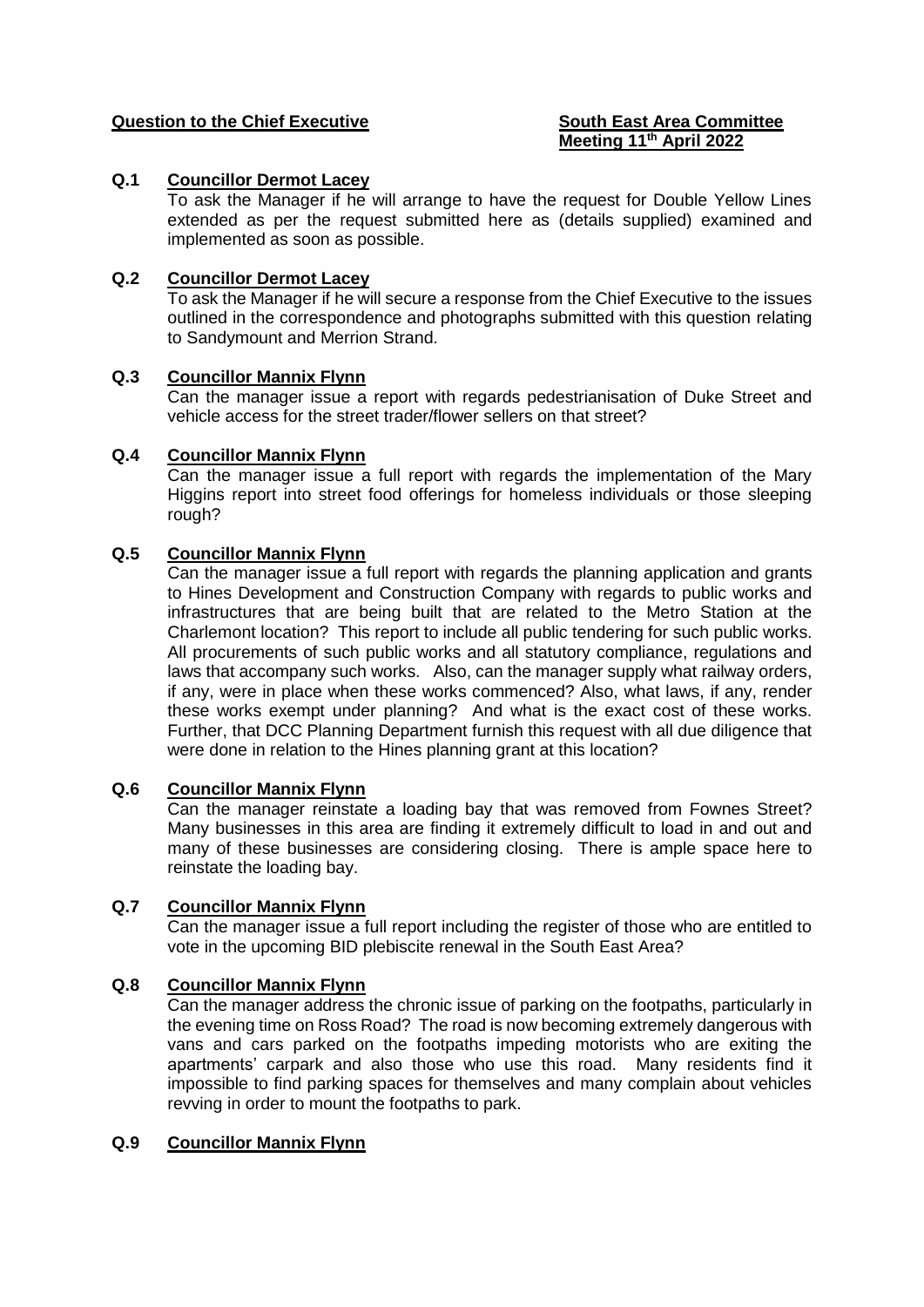# **Question to the Chief Executive <b>South East Area Committee**

# **Meeting 11th April 2022**

## **Q.1 Councillor Dermot Lacey**

To ask the Manager if he will arrange to have the request for Double Yellow Lines extended as per the request submitted here as (details supplied) examined and implemented as soon as possible.

## **Q.2 Councillor Dermot Lacey**

To ask the Manager if he will secure a response from the Chief Executive to the issues outlined in the correspondence and photographs submitted with this question relating to Sandymount and Merrion Strand.

## **Q.3 Councillor Mannix Flynn**

Can the manager issue a report with regards pedestrianisation of Duke Street and vehicle access for the street trader/flower sellers on that street?

## **Q.4 Councillor Mannix Flynn**

Can the manager issue a full report with regards the implementation of the Mary Higgins report into street food offerings for homeless individuals or those sleeping rough?

# **Q.5 Councillor Mannix Flynn**

Can the manager issue a full report with regards the planning application and grants to Hines Development and Construction Company with regards to public works and infrastructures that are being built that are related to the Metro Station at the Charlemont location? This report to include all public tendering for such public works. All procurements of such public works and all statutory compliance, regulations and laws that accompany such works. Also, can the manager supply what railway orders, if any, were in place when these works commenced? Also, what laws, if any, render these works exempt under planning? And what is the exact cost of these works. Further, that DCC Planning Department furnish this request with all due diligence that were done in relation to the Hines planning grant at this location?

## **Q.6 Councillor Mannix Flynn**

Can the manager reinstate a loading bay that was removed from Fownes Street? Many businesses in this area are finding it extremely difficult to load in and out and many of these businesses are considering closing. There is ample space here to reinstate the loading bay.

# **Q.7 Councillor Mannix Flynn**

Can the manager issue a full report including the register of those who are entitled to vote in the upcoming BID plebiscite renewal in the South East Area?

# **Q.8 Councillor Mannix Flynn**

Can the manager address the chronic issue of parking on the footpaths, particularly in the evening time on Ross Road? The road is now becoming extremely dangerous with vans and cars parked on the footpaths impeding motorists who are exiting the apartments' carpark and also those who use this road. Many residents find it impossible to find parking spaces for themselves and many complain about vehicles revving in order to mount the footpaths to park.

## **Q.9 Councillor Mannix Flynn**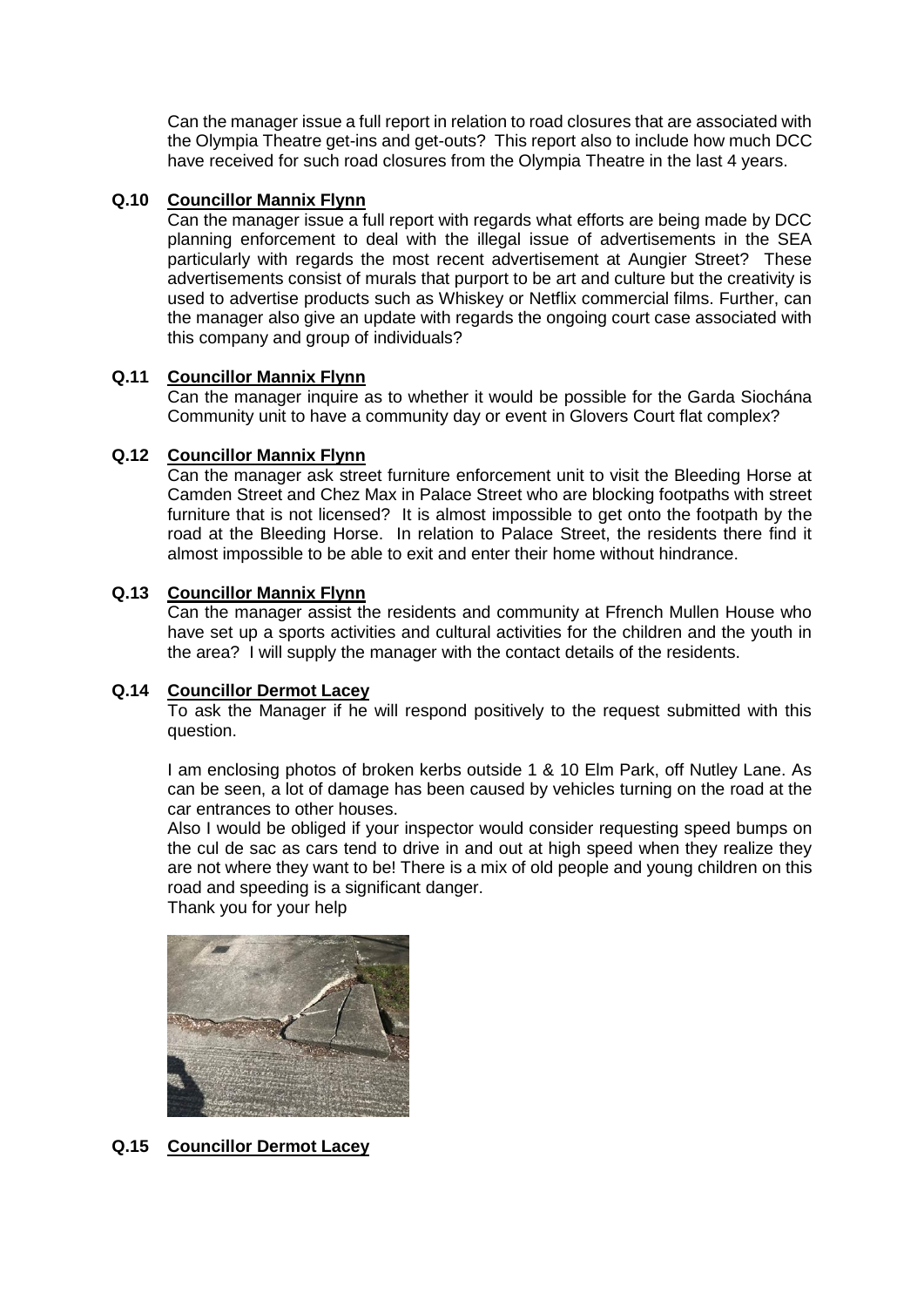Can the manager issue a full report in relation to road closures that are associated with the Olympia Theatre get-ins and get-outs? This report also to include how much DCC have received for such road closures from the Olympia Theatre in the last 4 years.

# **Q.10 Councillor Mannix Flynn**

Can the manager issue a full report with regards what efforts are being made by DCC planning enforcement to deal with the illegal issue of advertisements in the SEA particularly with regards the most recent advertisement at Aungier Street? These advertisements consist of murals that purport to be art and culture but the creativity is used to advertise products such as Whiskey or Netflix commercial films. Further, can the manager also give an update with regards the ongoing court case associated with this company and group of individuals?

# **Q.11 Councillor Mannix Flynn**

Can the manager inquire as to whether it would be possible for the Garda Siochána Community unit to have a community day or event in Glovers Court flat complex?

# **Q.12 Councillor Mannix Flynn**

Can the manager ask street furniture enforcement unit to visit the Bleeding Horse at Camden Street and Chez Max in Palace Street who are blocking footpaths with street furniture that is not licensed? It is almost impossible to get onto the footpath by the road at the Bleeding Horse. In relation to Palace Street, the residents there find it almost impossible to be able to exit and enter their home without hindrance.

# **Q.13 Councillor Mannix Flynn**

Can the manager assist the residents and community at Ffrench Mullen House who have set up a sports activities and cultural activities for the children and the youth in the area? I will supply the manager with the contact details of the residents.

# **Q.14 Councillor Dermot Lacey**

To ask the Manager if he will respond positively to the request submitted with this question.

I am enclosing photos of broken kerbs outside 1 & 10 Elm Park, off Nutley Lane. As can be seen, a lot of damage has been caused by vehicles turning on the road at the car entrances to other houses.

Also I would be obliged if your inspector would consider requesting speed bumps on the cul de sac as cars tend to drive in and out at high speed when they realize they are not where they want to be! There is a mix of old people and young children on this road and speeding is a significant danger.

Thank you for your help



**Q.15 Councillor Dermot Lacey**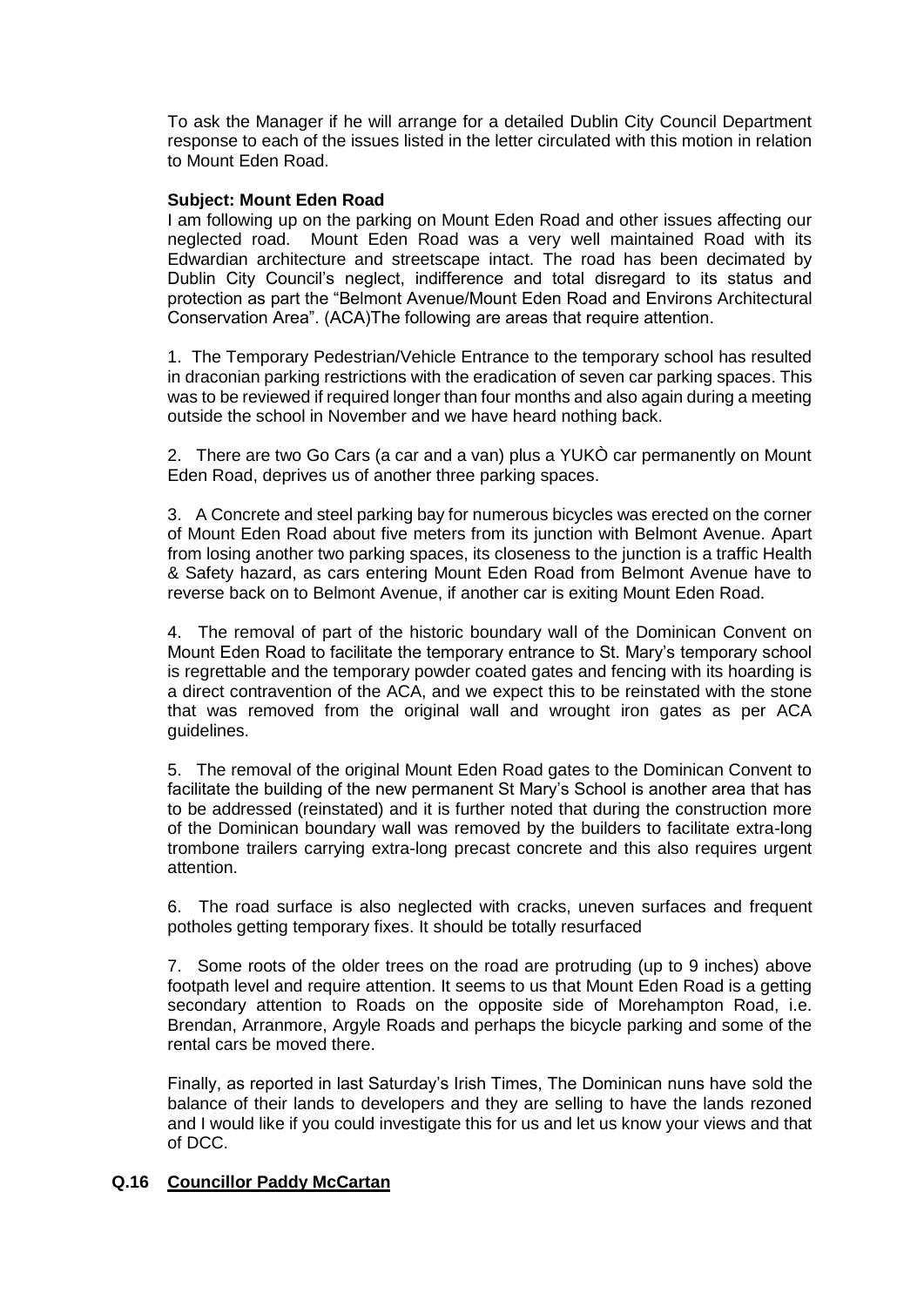To ask the Manager if he will arrange for a detailed Dublin City Council Department response to each of the issues listed in the letter circulated with this motion in relation to Mount Eden Road.

## **Subject: Mount Eden Road**

I am following up on the parking on Mount Eden Road and other issues affecting our neglected road. Mount Eden Road was a very well maintained Road with its Edwardian architecture and streetscape intact. The road has been decimated by Dublin City Council's neglect, indifference and total disregard to its status and protection as part the "Belmont Avenue/Mount Eden Road and Environs Architectural Conservation Area". (ACA)The following are areas that require attention.

1. The Temporary Pedestrian/Vehicle Entrance to the temporary school has resulted in draconian parking restrictions with the eradication of seven car parking spaces. This was to be reviewed if required longer than four months and also again during a meeting outside the school in November and we have heard nothing back.

2. There are two Go Cars (a car and a van) plus a YUKÒ car permanently on Mount Eden Road, deprives us of another three parking spaces.

3. A Concrete and steel parking bay for numerous bicycles was erected on the corner of Mount Eden Road about five meters from its junction with Belmont Avenue. Apart from losing another two parking spaces, its closeness to the junction is a traffic Health & Safety hazard, as cars entering Mount Eden Road from Belmont Avenue have to reverse back on to Belmont Avenue, if another car is exiting Mount Eden Road.

4. The removal of part of the historic boundary wall of the Dominican Convent on Mount Eden Road to facilitate the temporary entrance to St. Mary's temporary school is regrettable and the temporary powder coated gates and fencing with its hoarding is a direct contravention of the ACA, and we expect this to be reinstated with the stone that was removed from the original wall and wrought iron gates as per ACA guidelines.

5. The removal of the original Mount Eden Road gates to the Dominican Convent to facilitate the building of the new permanent St Mary's School is another area that has to be addressed (reinstated) and it is further noted that during the construction more of the Dominican boundary wall was removed by the builders to facilitate extra-long trombone trailers carrying extra-long precast concrete and this also requires urgent attention.

6. The road surface is also neglected with cracks, uneven surfaces and frequent potholes getting temporary fixes. It should be totally resurfaced

7. Some roots of the older trees on the road are protruding (up to 9 inches) above footpath level and require attention. It seems to us that Mount Eden Road is a getting secondary attention to Roads on the opposite side of Morehampton Road, i.e. Brendan, Arranmore, Argyle Roads and perhaps the bicycle parking and some of the rental cars be moved there.

Finally, as reported in last Saturday's Irish Times, The Dominican nuns have sold the balance of their lands to developers and they are selling to have the lands rezoned and I would like if you could investigate this for us and let us know your views and that of DCC.

# **Q.16 Councillor Paddy McCartan**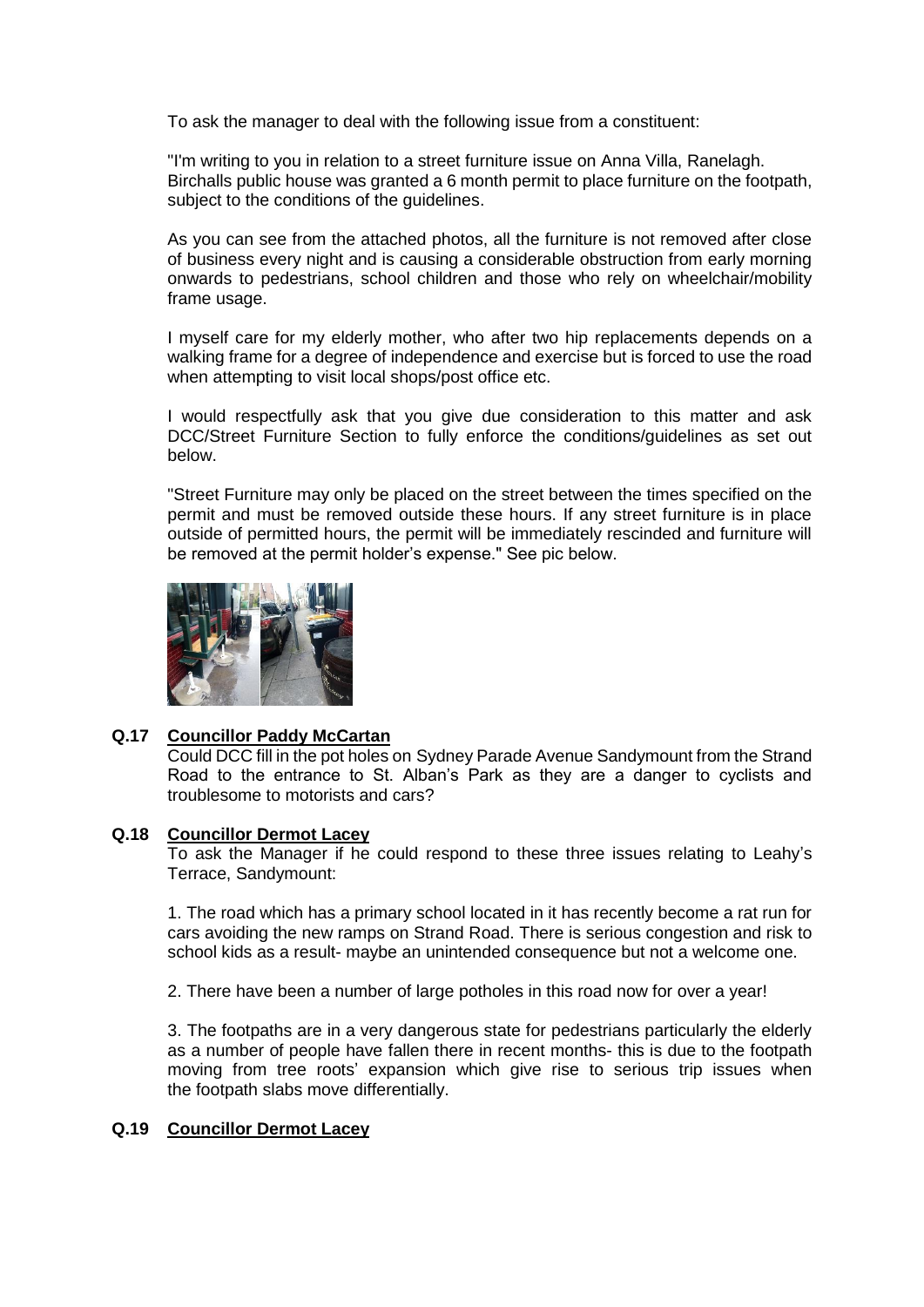To ask the manager to deal with the following issue from a constituent:

"I'm writing to you in relation to a street furniture issue on Anna Villa, Ranelagh. Birchalls public house was granted a 6 month permit to place furniture on the footpath, subject to the conditions of the guidelines.

As you can see from the attached photos, all the furniture is not removed after close of business every night and is causing a considerable obstruction from early morning onwards to pedestrians, school children and those who rely on wheelchair/mobility frame usage.

I myself care for my elderly mother, who after two hip replacements depends on a walking frame for a degree of independence and exercise but is forced to use the road when attempting to visit local shops/post office etc.

I would respectfully ask that you give due consideration to this matter and ask DCC/Street Furniture Section to fully enforce the conditions/guidelines as set out below.

"Street Furniture may only be placed on the street between the times specified on the permit and must be removed outside these hours. If any street furniture is in place outside of permitted hours, the permit will be immediately rescinded and furniture will be removed at the permit holder's expense." See pic below.



# **Q.17 Councillor Paddy McCartan**

Could DCC fill in the pot holes on Sydney Parade Avenue Sandymount from the Strand Road to the entrance to St. Alban's Park as they are a danger to cyclists and troublesome to motorists and cars?

# **Q.18 Councillor Dermot Lacey**

To ask the Manager if he could respond to these three issues relating to Leahy's Terrace, Sandymount:

1. The road which has a primary school located in it has recently become a rat run for cars avoiding the new ramps on Strand Road. There is serious congestion and risk to school kids as a result- maybe an unintended consequence but not a welcome one.

2. There have been a number of large potholes in this road now for over a year!

3. The footpaths are in a very dangerous state for pedestrians particularly the elderly as a number of people have fallen there in recent months- this is due to the footpath moving from tree roots' expansion which give rise to serious trip issues when the footpath slabs move differentially.

# **Q.19 Councillor Dermot Lacey**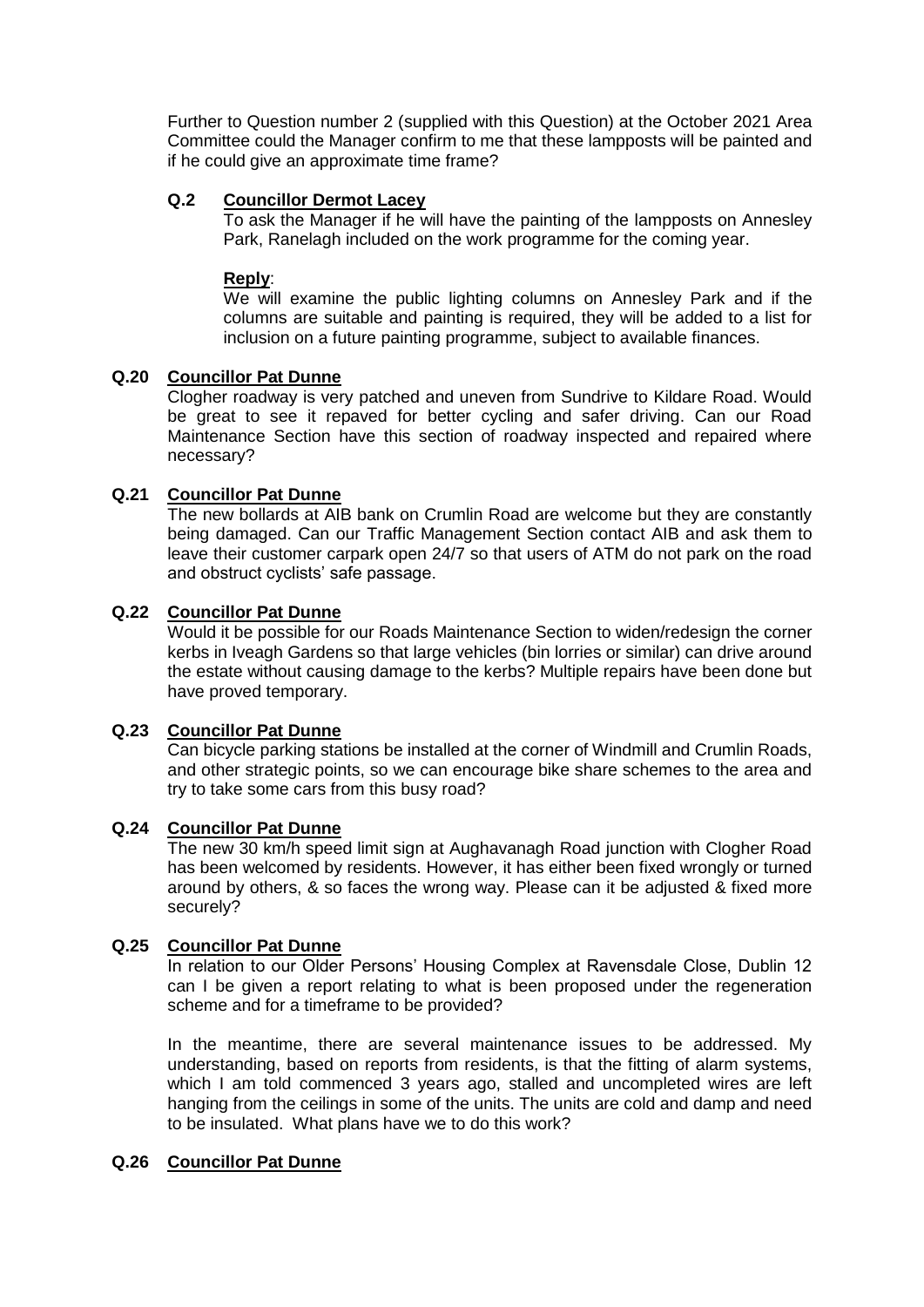Further to Question number 2 (supplied with this Question) at the October 2021 Area Committee could the Manager confirm to me that these lampposts will be painted and if he could give an approximate time frame?

## **Q.2 Councillor Dermot Lacey**

To ask the Manager if he will have the painting of the lampposts on Annesley Park, Ranelagh included on the work programme for the coming year.

## **Reply**:

We will examine the public lighting columns on Annesley Park and if the columns are suitable and painting is required, they will be added to a list for inclusion on a future painting programme, subject to available finances.

## **Q.20 Councillor Pat Dunne**

Clogher roadway is very patched and uneven from Sundrive to Kildare Road. Would be great to see it repaved for better cycling and safer driving. Can our Road Maintenance Section have this section of roadway inspected and repaired where necessary?

## **Q.21 Councillor Pat Dunne**

The new bollards at AIB bank on Crumlin Road are welcome but they are constantly being damaged. Can our Traffic Management Section contact AIB and ask them to leave their customer carpark open 24/7 so that users of ATM do not park on the road and obstruct cyclists' safe passage.

## **Q.22 Councillor Pat Dunne**

Would it be possible for our Roads Maintenance Section to widen/redesign the corner kerbs in Iveagh Gardens so that large vehicles (bin lorries or similar) can drive around the estate without causing damage to the kerbs? Multiple repairs have been done but have proved temporary.

# **Q.23 Councillor Pat Dunne**

Can bicycle parking stations be installed at the corner of Windmill and Crumlin Roads, and other strategic points, so we can encourage bike share schemes to the area and try to take some cars from this busy road?

## **Q.24 Councillor Pat Dunne**

The new 30 km/h speed limit sign at Aughavanagh Road junction with Clogher Road has been welcomed by residents. However, it has either been fixed wrongly or turned around by others, & so faces the wrong way. Please can it be adjusted & fixed more securely?

## **Q.25 Councillor Pat Dunne**

In relation to our Older Persons' Housing Complex at Ravensdale Close, Dublin 12 can I be given a report relating to what is been proposed under the regeneration scheme and for a timeframe to be provided?

In the meantime, there are several maintenance issues to be addressed. My understanding, based on reports from residents, is that the fitting of alarm systems, which I am told commenced 3 years ago, stalled and uncompleted wires are left hanging from the ceilings in some of the units. The units are cold and damp and need to be insulated. What plans have we to do this work?

# **Q.26 Councillor Pat Dunne**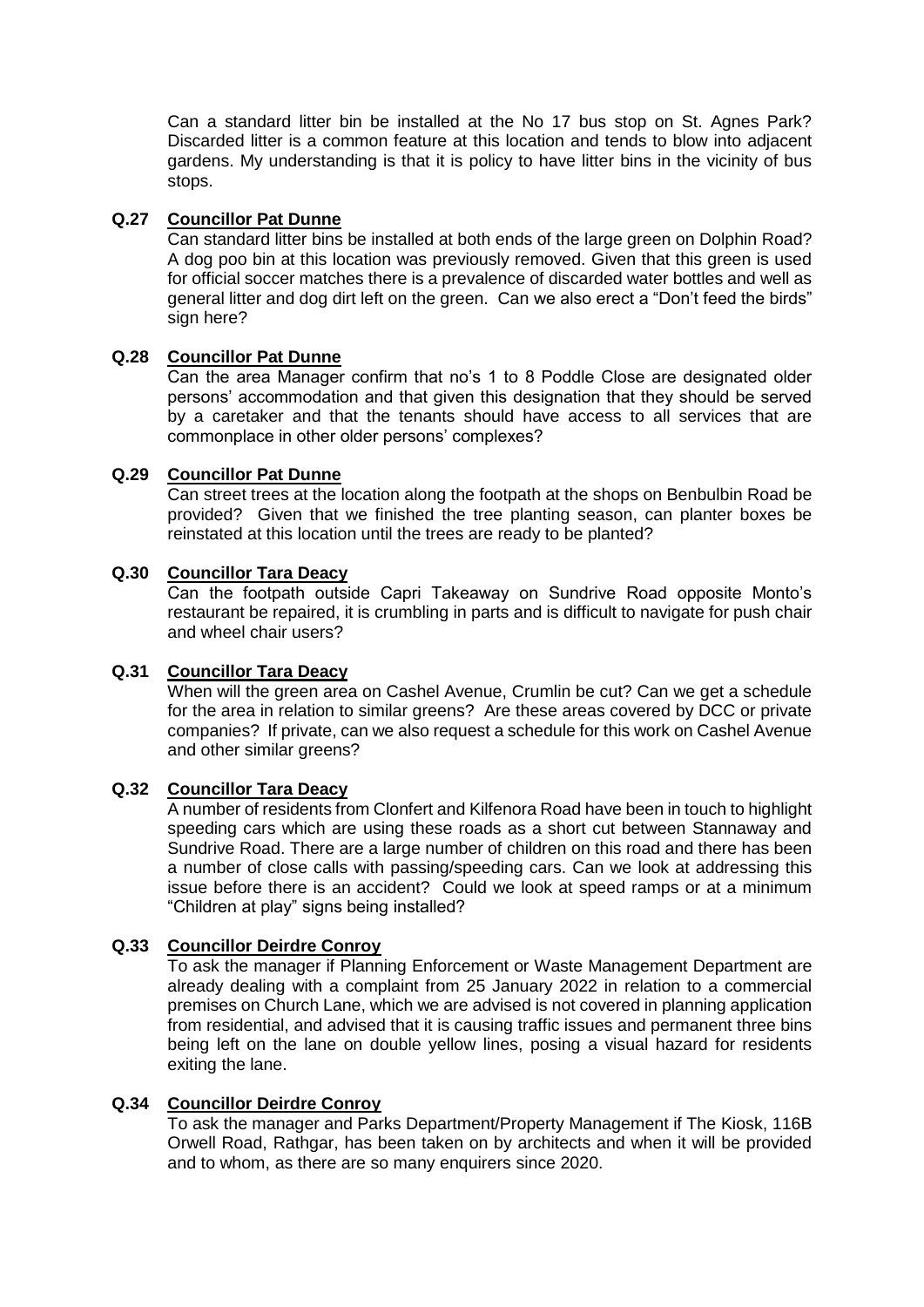Can a standard litter bin be installed at the No 17 bus stop on St. Agnes Park? Discarded litter is a common feature at this location and tends to blow into adjacent gardens. My understanding is that it is policy to have litter bins in the vicinity of bus stops.

## **Q.27 Councillor Pat Dunne**

Can standard litter bins be installed at both ends of the large green on Dolphin Road? A dog poo bin at this location was previously removed. Given that this green is used for official soccer matches there is a prevalence of discarded water bottles and well as general litter and dog dirt left on the green. Can we also erect a "Don't feed the birds" sign here?

## **Q.28 Councillor Pat Dunne**

Can the area Manager confirm that no's 1 to 8 Poddle Close are designated older persons' accommodation and that given this designation that they should be served by a caretaker and that the tenants should have access to all services that are commonplace in other older persons' complexes?

## **Q.29 Councillor Pat Dunne**

Can street trees at the location along the footpath at the shops on Benbulbin Road be provided? Given that we finished the tree planting season, can planter boxes be reinstated at this location until the trees are ready to be planted?

# **Q.30 Councillor Tara Deacy**

Can the footpath outside Capri Takeaway on Sundrive Road opposite Monto's restaurant be repaired, it is crumbling in parts and is difficult to navigate for push chair and wheel chair users?

# **Q.31 Councillor Tara Deacy**

When will the green area on Cashel Avenue, Crumlin be cut? Can we get a schedule for the area in relation to similar greens? Are these areas covered by DCC or private companies? If private, can we also request a schedule for this work on Cashel Avenue and other similar greens?

## **Q.32 Councillor Tara Deacy**

A number of residents from Clonfert and Kilfenora Road have been in touch to highlight speeding cars which are using these roads as a short cut between Stannaway and Sundrive Road. There are a large number of children on this road and there has been a number of close calls with passing/speeding cars. Can we look at addressing this issue before there is an accident? Could we look at speed ramps or at a minimum "Children at play" signs being installed?

# **Q.33 Councillor Deirdre Conroy**

To ask the manager if Planning Enforcement or Waste Management Department are already dealing with a complaint from 25 January 2022 in relation to a commercial premises on Church Lane, which we are advised is not covered in planning application from residential, and advised that it is causing traffic issues and permanent three bins being left on the lane on double yellow lines, posing a visual hazard for residents exiting the lane.

## **Q.34 Councillor Deirdre Conroy**

To ask the manager and Parks Department/Property Management if The Kiosk, 116B Orwell Road, Rathgar, has been taken on by architects and when it will be provided and to whom, as there are so many enquirers since 2020.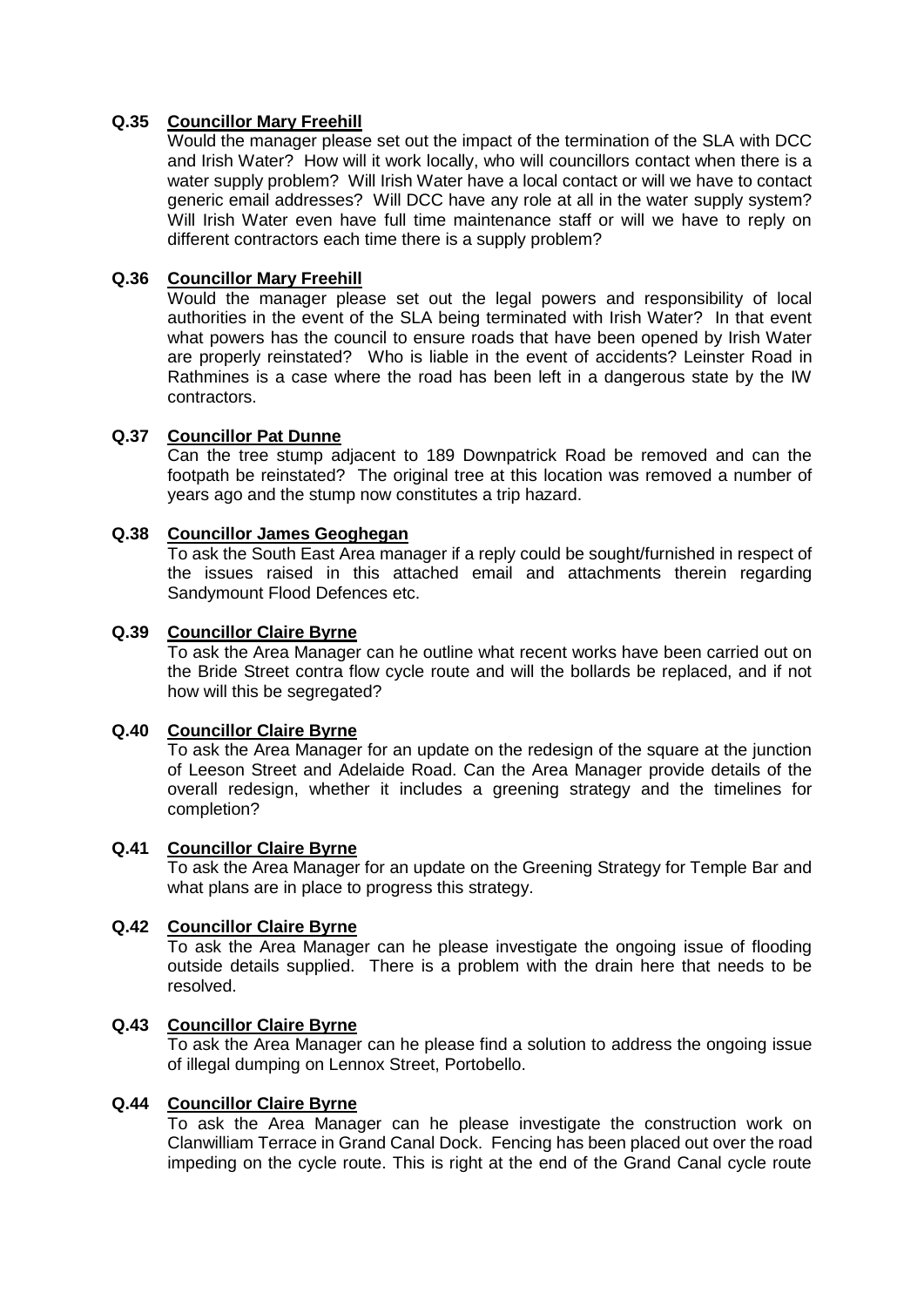# **Q.35 Councillor Mary Freehill**

Would the manager please set out the impact of the termination of the SLA with DCC and Irish Water? How will it work locally, who will councillors contact when there is a water supply problem? Will Irish Water have a local contact or will we have to contact generic email addresses? Will DCC have any role at all in the water supply system? Will Irish Water even have full time maintenance staff or will we have to reply on different contractors each time there is a supply problem?

# **Q.36 Councillor Mary Freehill**

Would the manager please set out the legal powers and responsibility of local authorities in the event of the SLA being terminated with Irish Water? In that event what powers has the council to ensure roads that have been opened by Irish Water are properly reinstated? Who is liable in the event of accidents? Leinster Road in Rathmines is a case where the road has been left in a dangerous state by the IW contractors.

# **Q.37 Councillor Pat Dunne**

Can the tree stump adjacent to 189 Downpatrick Road be removed and can the footpath be reinstated? The original tree at this location was removed a number of years ago and the stump now constitutes a trip hazard.

## **Q.38 Councillor James Geoghegan**

To ask the South East Area manager if a reply could be sought/furnished in respect of the issues raised in this attached email and attachments therein regarding Sandymount Flood Defences etc.

## **Q.39 Councillor Claire Byrne**

To ask the Area Manager can he outline what recent works have been carried out on the Bride Street contra flow cycle route and will the bollards be replaced, and if not how will this be segregated?

# **Q.40 Councillor Claire Byrne**

To ask the Area Manager for an update on the redesign of the square at the junction of Leeson Street and Adelaide Road. Can the Area Manager provide details of the overall redesign, whether it includes a greening strategy and the timelines for completion?

## **Q.41 Councillor Claire Byrne**

To ask the Area Manager for an update on the Greening Strategy for Temple Bar and what plans are in place to progress this strategy.

# **Q.42 Councillor Claire Byrne**

To ask the Area Manager can he please investigate the ongoing issue of flooding outside details supplied. There is a problem with the drain here that needs to be resolved.

## **Q.43 Councillor Claire Byrne**

To ask the Area Manager can he please find a solution to address the ongoing issue of illegal dumping on Lennox Street, Portobello.

## **Q.44 Councillor Claire Byrne**

To ask the Area Manager can he please investigate the construction work on Clanwilliam Terrace in Grand Canal Dock. Fencing has been placed out over the road impeding on the cycle route. This is right at the end of the Grand Canal cycle route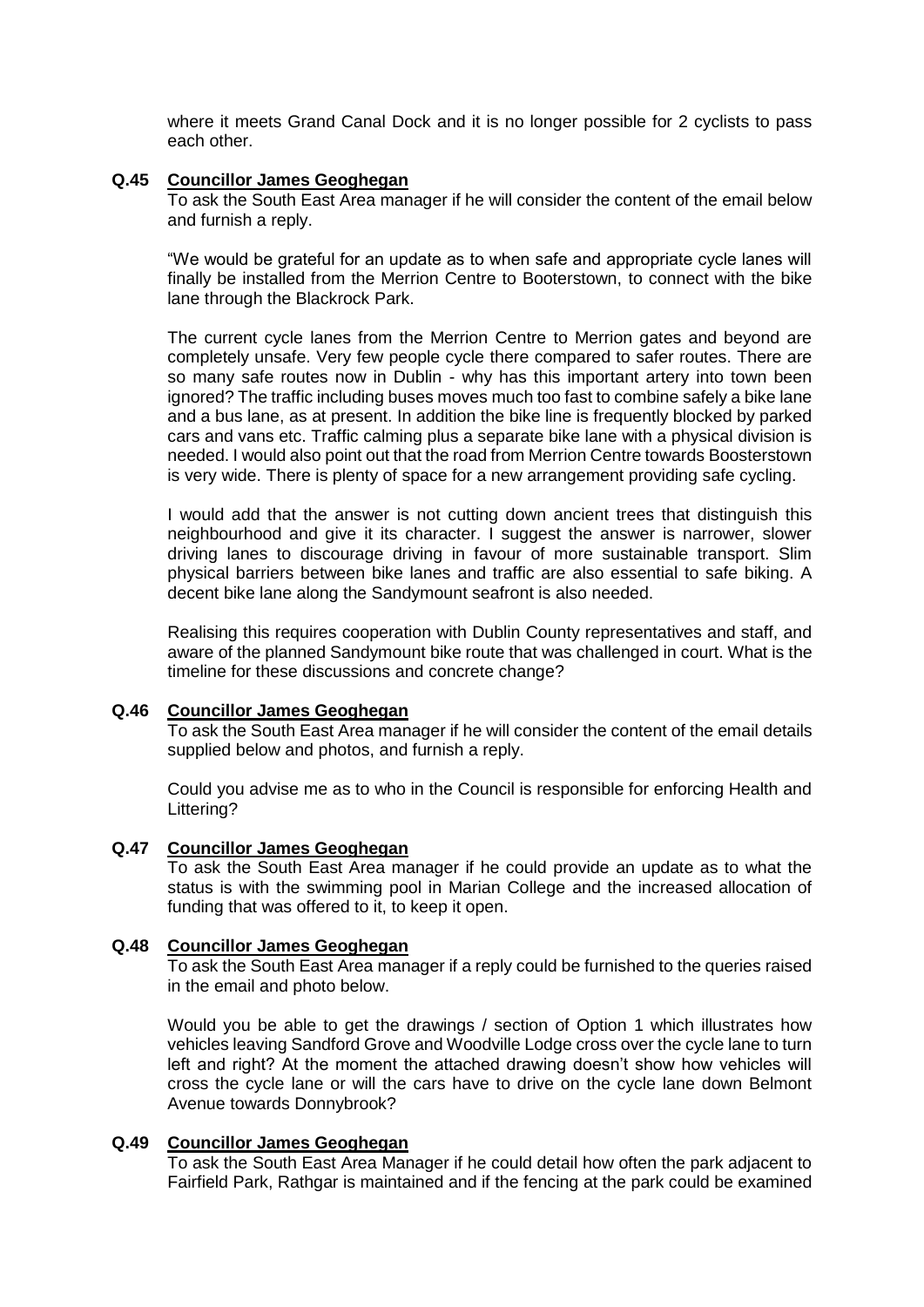where it meets Grand Canal Dock and it is no longer possible for 2 cyclists to pass each other.

## **Q.45 Councillor James Geoghegan**

To ask the South East Area manager if he will consider the content of the email below and furnish a reply.

"We would be grateful for an update as to when safe and appropriate cycle lanes will finally be installed from the Merrion Centre to Booterstown, to connect with the bike lane through the Blackrock Park.

The current cycle lanes from the Merrion Centre to Merrion gates and beyond are completely unsafe. Very few people cycle there compared to safer routes. There are so many safe routes now in Dublin - why has this important artery into town been ignored? The traffic including buses moves much too fast to combine safely a bike lane and a bus lane, as at present. In addition the bike line is frequently blocked by parked cars and vans etc. Traffic calming plus a separate bike lane with a physical division is needed. I would also point out that the road from Merrion Centre towards Boosterstown is very wide. There is plenty of space for a new arrangement providing safe cycling.

I would add that the answer is not cutting down ancient trees that distinguish this neighbourhood and give it its character. I suggest the answer is narrower, slower driving lanes to discourage driving in favour of more sustainable transport. Slim physical barriers between bike lanes and traffic are also essential to safe biking. A decent bike lane along the Sandymount seafront is also needed.

Realising this requires cooperation with Dublin County representatives and staff, and aware of the planned Sandymount bike route that was challenged in court. What is the timeline for these discussions and concrete change?

## **Q.46 Councillor James Geoghegan**

To ask the South East Area manager if he will consider the content of the email details supplied below and photos, and furnish a reply.

Could you advise me as to who in the Council is responsible for enforcing Health and Littering?

## **Q.47 Councillor James Geoghegan**

To ask the South East Area manager if he could provide an update as to what the status is with the swimming pool in Marian College and the increased allocation of funding that was offered to it, to keep it open.

## **Q.48 Councillor James Geoghegan**

To ask the South East Area manager if a reply could be furnished to the queries raised in the email and photo below.

Would you be able to get the drawings / section of Option 1 which illustrates how vehicles leaving Sandford Grove and Woodville Lodge cross over the cycle lane to turn left and right? At the moment the attached drawing doesn't show how vehicles will cross the cycle lane or will the cars have to drive on the cycle lane down Belmont Avenue towards Donnybrook?

## **Q.49 Councillor James Geoghegan**

To ask the South East Area Manager if he could detail how often the park adjacent to Fairfield Park, Rathgar is maintained and if the fencing at the park could be examined